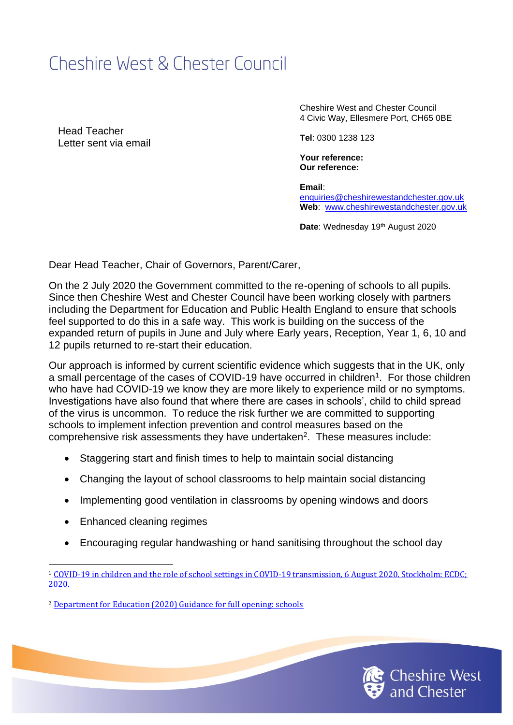## Cheshire West & Chester Council

Head Teacher Letter sent via email Cheshire West and Chester Council 4 Civic Way, Ellesmere Port, CH65 0BE

**Tel**: 0300 1238 123

**Your reference: Our reference:** 

**Email**: [enquiries@cheshirewestandchester.gov.uk](mailto:enquiries@cheshirewestandchester.gov.uk) **Web**: [www.cheshirewestandchester.gov.uk](http://www.cheshirewestandchester.gov.uk/)

**Date: Wednesday 19th August 2020** 

Dear Head Teacher, Chair of Governors, Parent/Carer,

On the 2 July 2020 the Government committed to the re-opening of schools to all pupils. Since then Cheshire West and Chester Council have been working closely with partners including the Department for Education and Public Health England to ensure that schools feel supported to do this in a safe way. This work is building on the success of the expanded return of pupils in June and July where Early years, Reception, Year 1, 6, 10 and 12 pupils returned to re-start their education.

Our approach is informed by current scientific evidence which suggests that in the UK, only a small percentage of the cases of COVID-19 have occurred in children<sup>1</sup>. For those children who have had COVID-19 we know they are more likely to experience mild or no symptoms. Investigations have also found that where there are cases in schools', child to child spread of the virus is uncommon. To reduce the risk further we are committed to supporting schools to implement infection prevention and control measures based on the comprehensive risk assessments they have undertaken<sup>2</sup>. These measures include:

- Staggering start and finish times to help to maintain social distancing
- Changing the layout of school classrooms to help maintain social distancing
- Implementing good ventilation in classrooms by opening windows and doors
- Enhanced cleaning regimes
- Encouraging regular handwashing or hand sanitising throughout the school day



<sup>1</sup> [COVID-19 in children and the role of school settings in COVID-19 transmission, 6 August 2020. Stockholm: ECDC;](https://www.ecdc.europa.eu/sites/default/files/documents/COVID-19-schools-transmission-August%202020.pdf)  [2020.](https://www.ecdc.europa.eu/sites/default/files/documents/COVID-19-schools-transmission-August%202020.pdf)

<sup>2</sup> [Department for Education \(2020\) Guidance for full opening: schools](https://www.gov.uk/government/publications/actions-for-schools-during-the-coronavirus-outbreak/guidance-for-full-opening-schools)